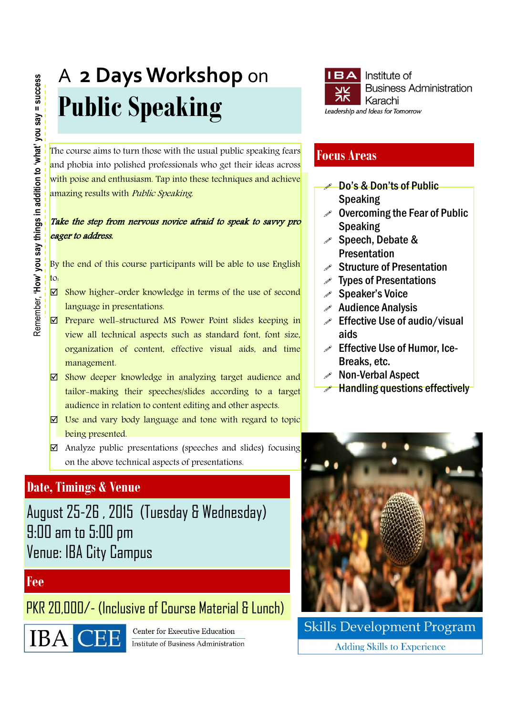# A **2 Days Workshop** on **Public Speaking**

The course aims to turn those with the usual public speaking fears and phobia into polished professionals who get their ideas across with poise and enthusiasm. Tap into these techniques and achieve amazing results with Public Speaking.

### Take the step from nervous novice afraid to speak to savvy pro eager to address.

By the end of this course participants will be able to use English to:

- $\boxtimes$  Show higher-order knowledge in terms of the use of second language in presentations.
- $\boxtimes$  Prepare well-structured MS Power Point slides keeping in view all technical aspects such as standard font, font size, organization of content, effective visual aids, and time management.
- $\boxtimes$  Show deeper knowledge in analyzing target audience and tailor-making their speeches/slides according to a target audience in relation to content editing and other aspects.
- $\nabla$  Use and vary body language and tone with regard to topic being presented.
- $\boxtimes$  Analyze public presentations (speeches and slides) focusing on the above technical aspects of presentations.

# **Date, Timings & Venue**

August 25-26 , 2015 (Tuesday & Wednesday) 9:00 am to 5:00 pm Venue: IBA City Campus

## **Fee**

PKR 20,000/- (Inclusive of Course Material & Lunch)



**Center for Executive Education Institute of Business Administration** 



## **Focus Areas**

- **Do's & Don'ts of Public** Speaking
- $\mathscr S$  Overcoming the Fear of Public Speaking
- Speech, Debate & **Presentation**
- $\mathscr S$  Structure of Presentation
- Types of Presentations
- Speaker's Voice
- $\mathscr X$  Audience Analysis
- $\mathscr{P}$  Effective Use of audio/visual aids
- $\mathscr S$  Effective Use of Humor, Ice-Breaks, etc.
- Non-Verbal Aspect
- Handling questions effectively



**Skills Development Program Adding Skills to Experience**